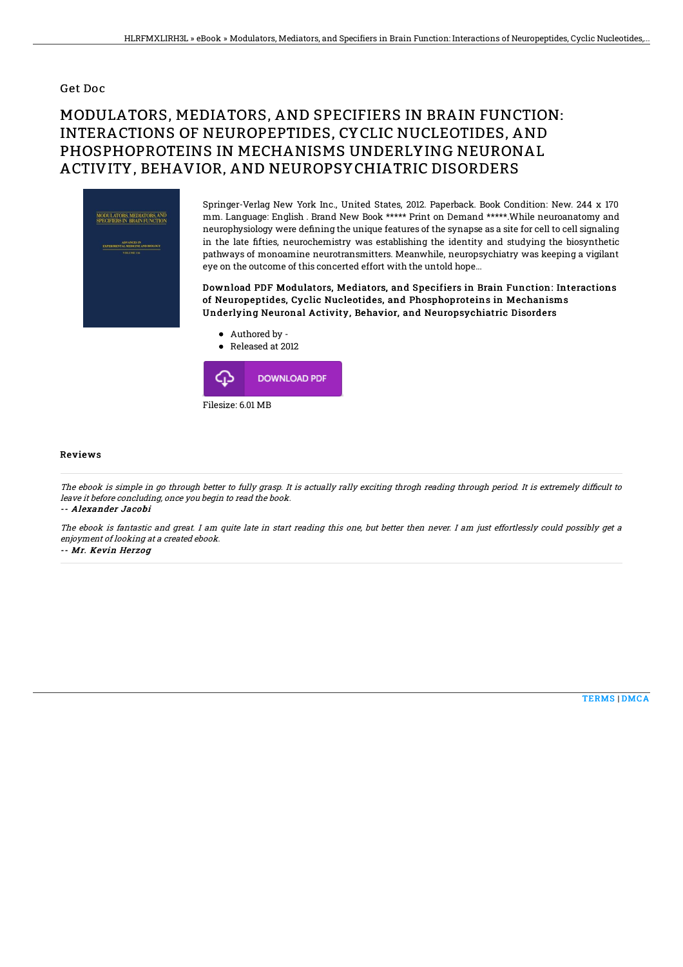## Get Doc

## MODULATORS, MEDIATORS, AND SPECIFIERS IN BRAIN FUNCTION: INTERACTIONS OF NEUROPEPTIDES, CYCLIC NUCLEOTIDES, AND PHOSPHOPROTEINS IN MECHANISMS UNDERLYING NEURONAL ACTIVITY, BEHAVIOR, AND NEUROPSYCHIATRIC DISORDERS



Springer-Verlag New York Inc., United States, 2012. Paperback. Book Condition: New. 244 x 170 mm. Language: English . Brand New Book \*\*\*\*\* Print on Demand \*\*\*\*\*.While neuroanatomy and neurophysiology were defining the unique features of the synapse as a site for cell to cell signaling in the late 6fties, neurochemistry was establishing the identity and studying the biosynthetic pathways of monoamine neurotransmitters. Meanwhile, neuropsychiatry was keeping a vigilant eye on the outcome of this concerted effort with the untold hope...

Download PDF Modulators, Mediators, and Specifiers in Brain Function: Interactions of Neuropeptides, Cyclic Nucleotides, and Phosphoproteins in Mechanisms Underlying Neuronal Activity, Behavior, and Neuropsychiatric Disorders

Authored by -





## Reviews

The ebook is simple in go through better to fully grasp. It is actually rally exciting throgh reading through period. It is extremely difficult to leave it before concluding, once you begin to read the book. -- Alexander Jacobi

The ebook is fantastic and great. I am quite late in start reading this one, but better then never. I am just effortlessly could possibly get <sup>a</sup> enjoyment of looking at <sup>a</sup> created ebook.

-- Mr. Kevin Herzog